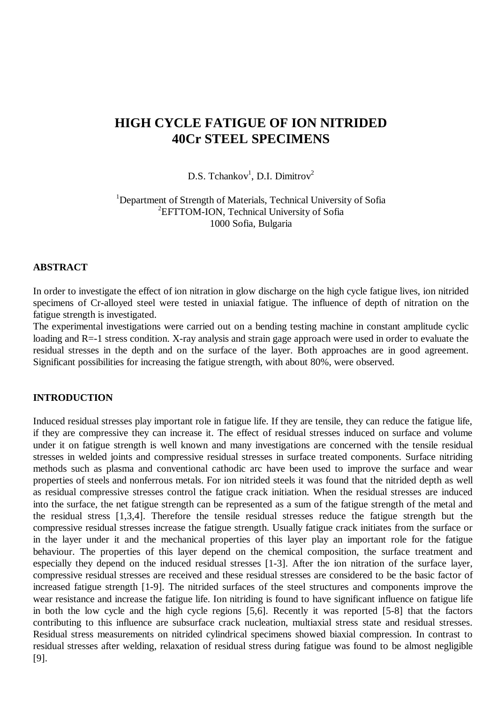# **HIGH CYCLE FATIGUE OF ION NITRIDED 40Cr STEEL SPECIMENS**

D.S. Tchankov<sup>1</sup>, D.I. Dimitrov<sup>2</sup>

<sup>1</sup>Department of Strength of Materials, Technical University of Sofia <sup>2</sup>EFTTOM-ION, Technical University of Sofia 1000 Sofia, Bulgaria

## **ABSTRACT**

In order to investigate the effect of ion nitration in glow discharge on the high cycle fatigue lives, ion nitrided specimens of Cr-alloyed steel were tested in uniaxial fatigue. The influence of depth of nitration on the fatigue strength is investigated.

The experimental investigations were carried out on a bending testing machine in constant amplitude cyclic loading and R=-1 stress condition. X-ray analysis and strain gage approach were used in order to evaluate the residual stresses in the depth and on the surface of the layer. Both approaches are in good agreement. Significant possibilities for increasing the fatigue strength, with about 80%, were observed.

# **INTRODUCTION**

Induced residual stresses play important role in fatigue life. If they are tensile, they can reduce the fatigue life, if they are compressive they can increase it. The effect of residual stresses induced on surface and volume under it on fatigue strength is well known and many investigations are concerned with the tensile residual stresses in welded joints and compressive residual stresses in surface treated components. Surface nitriding methods such as plasma and conventional cathodic arc have been used to improve the surface and wear properties of steels and nonferrous metals. For ion nitrided steels it was found that the nitrided depth as well as residual compressive stresses control the fatigue crack initiation. When the residual stresses are induced into the surface, the net fatigue strength can be represented as a sum of the fatigue strength of the metal and the residual stress [1,3,4]. Therefore the tensile residual stresses reduce the fatigue strength but the compressive residual stresses increase the fatigue strength. Usually fatigue crack initiates from the surface or in the layer under it and the mechanical properties of this layer play an important role for the fatigue behaviour. The properties of this layer depend on the chemical composition, the surface treatment and especially they depend on the induced residual stresses [1-3]. After the ion nitration of the surface layer, compressive residual stresses are received and these residual stresses are considered to be the basic factor of increased fatigue strength [1-9]. The nitrided surfaces of the steel structures and components improve the wear resistance and increase the fatigue life. Ion nitriding is found to have significant influence on fatigue life in both the low cycle and the high cycle regions [5,6]. Recently it was reported [5-8] that the factors contributing to this influence are subsurface crack nucleation, multiaxial stress state and residual stresses. Residual stress measurements on nitrided cylindrical specimens showed biaxial compression. In contrast to residual stresses after welding, relaxation of residual stress during fatigue was found to be almost negligible [9].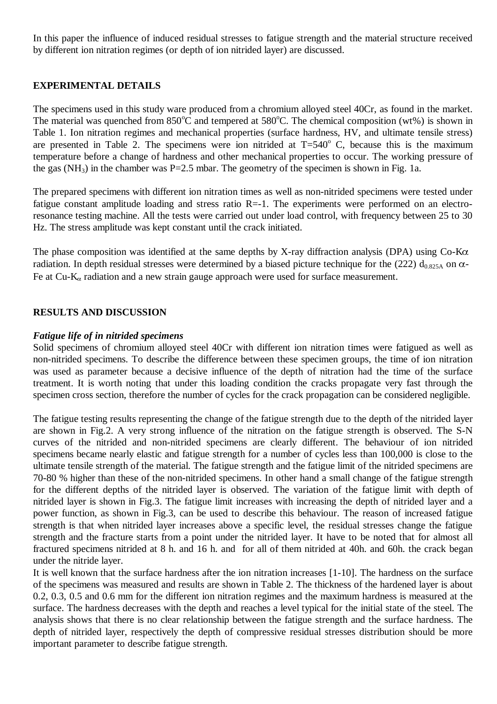In this paper the influence of induced residual stresses to fatigue strength and the material structure received by different ion nitration regimes (or depth of ion nitrided layer) are discussed.

# **EXPERIMENTAL DETAILS**

The specimens used in this study ware produced from a chromium alloyed steel 40Cr, as found in the market. The material was quenched from  $850^{\circ}$ C and tempered at  $580^{\circ}$ C. The chemical composition (wt%) is shown in Table 1. Ion nitration regimes and mechanical properties (surface hardness, HV, and ultimate tensile stress) are presented in Table 2. The specimens were ion nitrided at  $T=540^{\circ}$  C, because this is the maximum temperature before a change of hardness and other mechanical properties to occur. The working pressure of the gas  $(NH_3)$  in the chamber was P=2.5 mbar. The geometry of the specimen is shown in Fig. 1a.

The prepared specimens with different ion nitration times as well as non-nitrided specimens were tested under fatigue constant amplitude loading and stress ratio R=-1. The experiments were performed on an electroresonance testing machine. All the tests were carried out under load control, with frequency between 25 to 30 Hz. The stress amplitude was kept constant until the crack initiated.

The phase composition was identified at the same depths by X-ray diffraction analysis (DPA) using  $Co-K\alpha$ radiation. In depth residual stresses were determined by a biased picture technique for the (222)  $d_{0.825A}$  on  $\alpha$ -Fe at Cu-K<sub>a</sub> radiation and a new strain gauge approach were used for surface measurement.

## **RESULTS AND DISCUSSION**

## *Fatigue life of in nitrided specimens*

Solid specimens of chromium alloyed steel 40Cr with different ion nitration times were fatigued as well as non-nitrided specimens. To describe the difference between these specimen groups, the time of ion nitration was used as parameter because a decisive influence of the depth of nitration had the time of the surface treatment. It is worth noting that under this loading condition the cracks propagate very fast through the specimen cross section, therefore the number of cycles for the crack propagation can be considered negligible.

The fatigue testing results representing the change of the fatigue strength due to the depth of the nitrided layer are shown in Fig.2. A very strong influence of the nitration on the fatigue strength is observed. The S-N curves of the nitrided and non-nitrided specimens are clearly different. The behaviour of ion nitrided specimens became nearly elastic and fatigue strength for a number of cycles less than 100,000 is close to the ultimate tensile strength of the material. The fatigue strength and the fatigue limit of the nitrided specimens are 70-80 % higher than these of the non-nitrided specimens. In other hand a small change of the fatigue strength for the different depths of the nitrided layer is observed. The variation of the fatigue limit with depth of nitrided layer is shown in Fig.3. The fatigue limit increases with increasing the depth of nitrided layer and a power function, as shown in Fig.3, can be used to describe this behaviour. The reason of increased fatigue strength is that when nitrided layer increases above a specific level, the residual stresses change the fatigue strength and the fracture starts from a point under the nitrided layer. It have to be noted that for almost all fractured specimens nitrided at 8 h. and 16 h. and for all of them nitrided at 40h. and 60h. the crack began under the nitride layer.

It is well known that the surface hardness after the ion nitration increases [1-10]. The hardness on the surface of the specimens was measured and results are shown in Table 2. The thickness of the hardened layer is about 0.2, 0.3, 0.5 and 0.6 mm for the different ion nitration regimes and the maximum hardness is measured at the surface. The hardness decreases with the depth and reaches a level typical for the initial state of the steel. The analysis shows that there is no clear relationship between the fatigue strength and the surface hardness. The depth of nitrided layer, respectively the depth of compressive residual stresses distribution should be more important parameter to describe fatigue strength.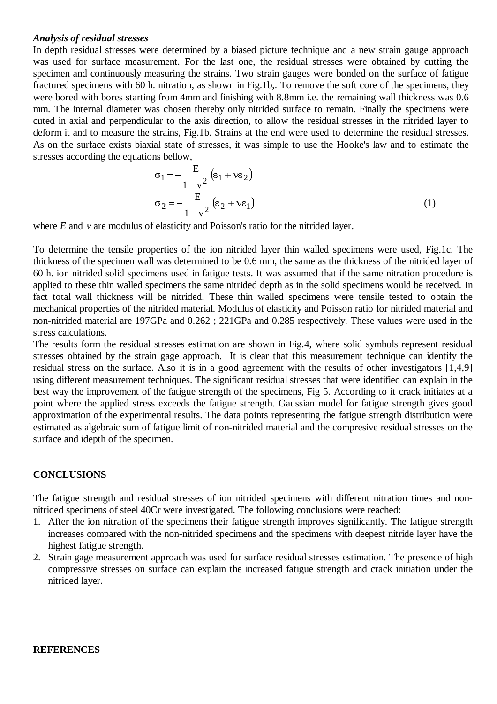#### *Analysis of residual stresses*

In depth residual stresses were determined by a biased picture technique and a new strain gauge approach was used for surface measurement. For the last one, the residual stresses were obtained by cutting the specimen and continuously measuring the strains. Two strain gauges were bonded on the surface of fatigue fractured specimens with 60 h. nitration, as shown in Fig.1b,. To remove the soft core of the specimens, they were bored with bores starting from 4mm and finishing with 8.8mm i.e. the remaining wall thickness was 0.6 mm. The internal diameter was chosen thereby only nitrided surface to remain. Finally the specimens were cuted in axial and perpendicular to the axis direction, to allow the residual stresses in the nitrided layer to deform it and to measure the strains, Fig.1b. Strains at the end were used to determine the residual stresses. As on the surface exists biaxial state of stresses, it was simple to use the Hooke's law and to estimate the stresses according the equations bellow,

$$
\sigma_1 = -\frac{E}{1 - v^2} (\varepsilon_1 + v \varepsilon_2)
$$
  
\n
$$
\sigma_2 = -\frac{E}{1 - v^2} (\varepsilon_2 + v \varepsilon_1)
$$
\n(1)

where  $E$  and  $V$  are modulus of elasticity and Poisson's ratio for the nitrided layer.

To determine the tensile properties of the ion nitrided layer thin walled specimens were used, Fig.1c. The thickness of the specimen wall was determined to be 0.6 mm, the same as the thickness of the nitrided layer of 60 h. ion nitrided solid specimens used in fatigue tests. It was assumed that if the same nitration procedure is applied to these thin walled specimens the same nitrided depth as in the solid specimens would be received. In fact total wall thickness will be nitrided. These thin walled specimens were tensile tested to obtain the mechanical properties of the nitrided material. Modulus of elasticity and Poisson ratio for nitrided material and non-nitrided material are 197GPa and 0.262 ; 221GPa and 0.285 respectively. These values were used in the stress calculations.

The results form the residual stresses estimation are shown in Fig.4, where solid symbols represent residual stresses obtained by the strain gage approach. It is clear that this measurement technique can identify the residual stress on the surface. Also it is in a good agreement with the results of other investigators [1,4,9] using different measurement techniques. The significant residual stresses that were identified can explain in the best way the improvement of the fatigue strength of the specimens, Fig 5. According to it crack initiates at a point where the applied stress exceeds the fatigue strength. Gaussian model for fatigue strength gives good approximation of the experimental results. The data points representing the fatigue strength distribution were estimated as algebraic sum of fatigue limit of non-nitrided material and the compresive residual stresses on the surface and idepth of the specimen.

## **CONCLUSIONS**

The fatigue strength and residual stresses of ion nitrided specimens with different nitration times and nonnitrided specimens of steel 40Cr were investigated. The following conclusions were reached:

- 1. After the ion nitration of the specimens their fatigue strength improves significantly. The fatigue strength increases compared with the non-nitrided specimens and the specimens with deepest nitride layer have the highest fatigue strength.
- 2. Strain gage measurement approach was used for surface residual stresses estimation. The presence of high compressive stresses on surface can explain the increased fatigue strength and crack initiation under the nitrided layer.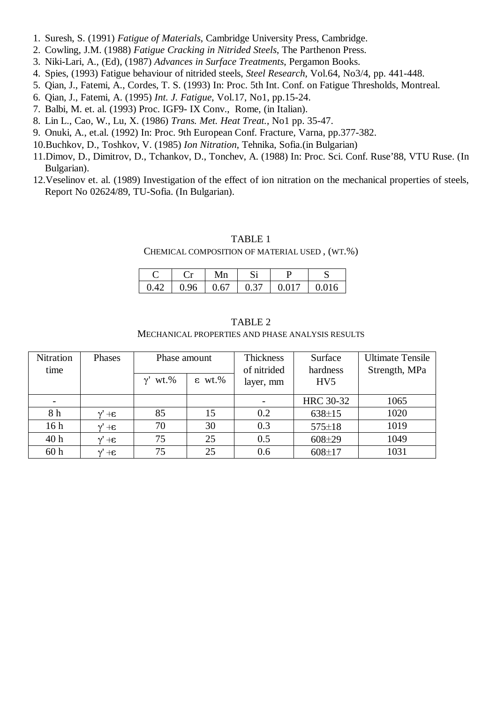- 1. Suresh, S. (1991) *Fatigue of Materials*, Cambridge University Press, Cambridge.
- 2. Cowling, J.M. (1988) *Fatigue Cracking in Nitrided Steels*, The Parthenon Press.
- 3. Niki-Lari, A., (Ed), (1987) *Advances in Surface Treatments*, Pergamon Books.
- 4. Spies, (1993) Fatigue behaviour of nitrided steels, *Steel Research*, Vol.64, No3/4, pp. 441-448.
- 5. Qian, J., Fatemi, A., Cordes, T. S. (1993) In: Proc. 5th Int. Conf. on Fatigue Thresholds, Montreal.
- 6. Qian, J., Fatemi, A. (1995) *Int. J. Fatigue*, Vol.17, No1, pp.15-24.
- 7. Balbi, M. et. al. (1993) Proc. IGF9- IX Conv., Rome, (in Italian).
- 8. Lin L., Cao, W., Lu, X. (1986) *Trans. Met. Heat Treat.*, No1 pp. 35-47.
- 9. Onuki, A., et.al. (1992) In: Proc. 9th European Conf. Fracture, Varna, pp.377-382.
- 10.Buchkov, D., Toshkov, V. (1985) *Ion Nitration*, Tehnika, Sofia.(in Bulgarian)
- 11.Dimov, D., Dimitrov, D., Tchankov, D., Tonchev, A. (1988) In: Proc. Sci. Conf. Ruse'88, VTU Ruse. (In Bulgarian).
- 12.Veselinov et. al. (1989) Investigation of the effect of ion nitration on the mechanical properties of steels, Report No 02624/89, TU-Sofia. (In Bulgarian).

## TABLE 1

## CHEMICAL COMPOSITION OF MATERIAL USED , (WT.%)

|                                       |                 | Mn |  |  |
|---------------------------------------|-----------------|----|--|--|
| $\begin{bmatrix} 0 & 4 \end{bmatrix}$ | $0.96 \pm 0.67$ |    |  |  |

| Nitration       | Phases                    | Phase amount   |                 | Thickness   | Surface         | <b>Ultimate Tensile</b> |
|-----------------|---------------------------|----------------|-----------------|-------------|-----------------|-------------------------|
| time            |                           |                |                 | of nitrided | hardness        | Strength, MPa           |
|                 |                           | $\gamma'$ wt.% | $\epsilon$ wt.% | layer, mm   | HV <sub>5</sub> |                         |
|                 |                           |                |                 |             | HRC 30-32       | 1065                    |
| 8 h             | $+ \epsilon$<br>$\gamma'$ | 85             | 15              | 0.2         | $638 \pm 15$    | 1020                    |
| 16 <sub>h</sub> | $+ \epsilon$<br>$\gamma'$ | 70             | 30              | 0.3         | $575 \pm 18$    | 1019                    |
| 40 h            | $3+$                      | 75             | 25              | 0.5         | $608 + 29$      | 1049                    |
| 60 <sub>h</sub> | $3+$<br>$\gamma$          | 75             | 25              | 0.6         | $608 \pm 17$    | 1031                    |

# TABLE 2 MECHANICAL PROPERTIES AND PHASE ANALYSIS RESULTS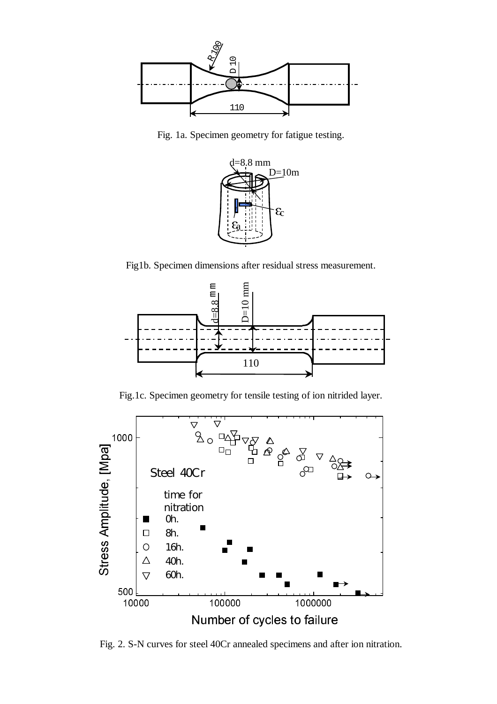

Fig. 1a. Specimen geometry for fatigue testing.



Fig1b. Specimen dimensions after residual stress measurement.



Fig.1c. Specimen geometry for tensile testing of ion nitrided layer.



Fig. 2. S-N curves for steel 40Cr annealed specimens and after ion nitration.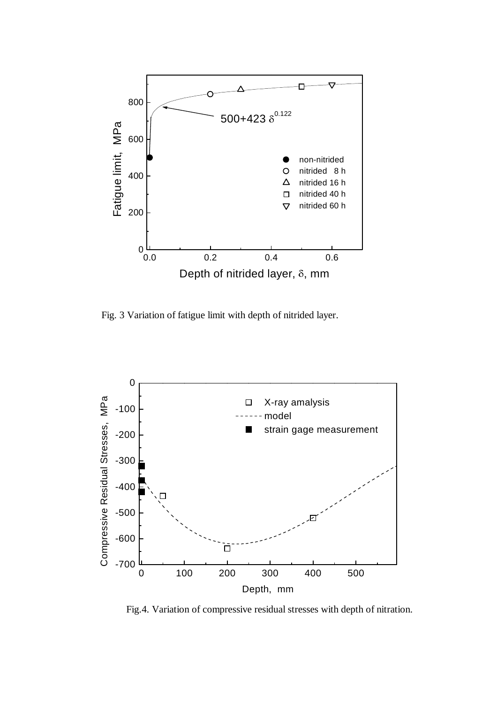

Fig. 3 Variation of fatigue limit with depth of nitrided layer.



Fig.4. Variation of compressive residual stresses with depth of nitration.